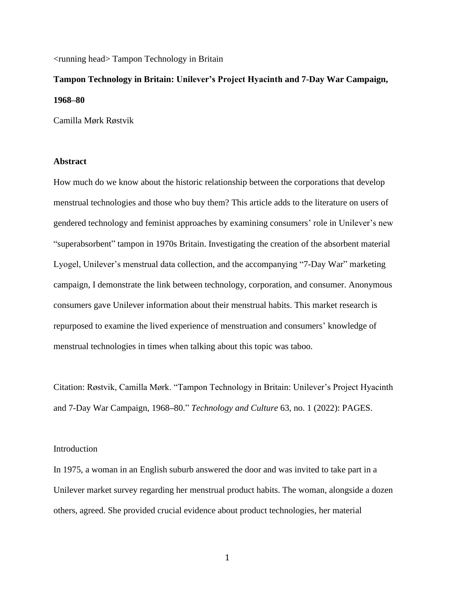<running head> Tampon Technology in Britain

# **Tampon Technology in Britain: Unilever's Project Hyacinth and 7-Day War Campaign, 1968–80**

Camilla Mørk Røstvik

# **Abstract**

How much do we know about the historic relationship between the corporations that develop menstrual technologies and those who buy them? This article adds to the literature on users of gendered technology and feminist approaches by examining consumers' role in Unilever's new "superabsorbent" tampon in 1970s Britain. Investigating the creation of the absorbent material Lyogel, Unilever's menstrual data collection, and the accompanying "7-Day War" marketing campaign, I demonstrate the link between technology, corporation, and consumer. Anonymous consumers gave Unilever information about their menstrual habits. This market research is repurposed to examine the lived experience of menstruation and consumers' knowledge of menstrual technologies in times when talking about this topic was taboo.

Citation: Røstvik, Camilla Mørk. "Tampon Technology in Britain: Unilever's Project Hyacinth and 7-Day War Campaign, 1968**–**80." *Technology and Culture* 63, no. 1 (2022): PAGES.

#### Introduction

In 1975, a woman in an English suburb answered the door and was invited to take part in a Unilever market survey regarding her menstrual product habits. The woman, alongside a dozen others, agreed. She provided crucial evidence about product technologies, her material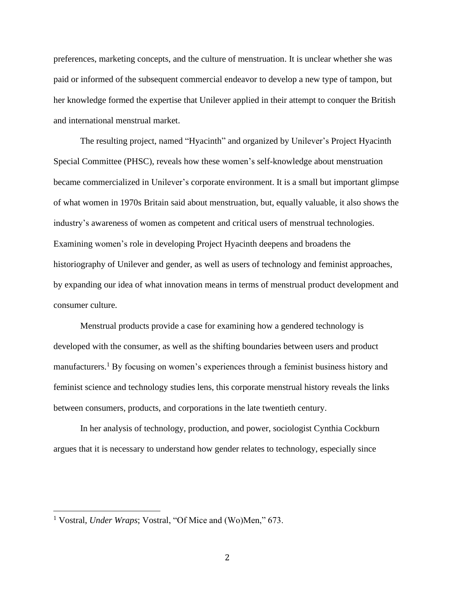preferences, marketing concepts, and the culture of menstruation. It is unclear whether she was paid or informed of the subsequent commercial endeavor to develop a new type of tampon, but her knowledge formed the expertise that Unilever applied in their attempt to conquer the British and international menstrual market.

The resulting project, named "Hyacinth" and organized by Unilever's Project Hyacinth Special Committee (PHSC), reveals how these women's self-knowledge about menstruation became commercialized in Unilever's corporate environment. It is a small but important glimpse of what women in 1970s Britain said about menstruation, but, equally valuable, it also shows the industry's awareness of women as competent and critical users of menstrual technologies. Examining women's role in developing Project Hyacinth deepens and broadens the historiography of Unilever and gender, as well as users of technology and feminist approaches, by expanding our idea of what innovation means in terms of menstrual product development and consumer culture.

Menstrual products provide a case for examining how a gendered technology is developed with the consumer, as well as the shifting boundaries between users and product manufacturers.<sup>1</sup> By focusing on women's experiences through a feminist business history and feminist science and technology studies lens, this corporate menstrual history reveals the links between consumers, products, and corporations in the late twentieth century.

In her analysis of technology, production, and power, sociologist Cynthia Cockburn argues that it is necessary to understand how gender relates to technology, especially since

<sup>&</sup>lt;sup>1</sup> Vostral, *Under Wraps*; Vostral, "Of Mice and (Wo)Men," 673.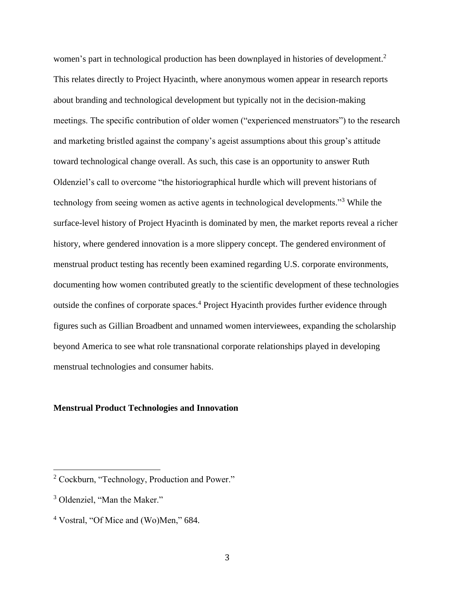women's part in technological production has been downplayed in histories of development.<sup>2</sup> This relates directly to Project Hyacinth, where anonymous women appear in research reports about branding and technological development but typically not in the decision-making meetings. The specific contribution of older women ("experienced menstruators") to the research and marketing bristled against the company's ageist assumptions about this group's attitude toward technological change overall. As such, this case is an opportunity to answer Ruth Oldenziel's call to overcome "the historiographical hurdle which will prevent historians of technology from seeing women as active agents in technological developments."<sup>3</sup> While the surface-level history of Project Hyacinth is dominated by men, the market reports reveal a richer history, where gendered innovation is a more slippery concept. The gendered environment of menstrual product testing has recently been examined regarding U.S. corporate environments, documenting how women contributed greatly to the scientific development of these technologies outside the confines of corporate spaces.<sup>4</sup> Project Hyacinth provides further evidence through figures such as Gillian Broadbent and unnamed women interviewees, expanding the scholarship beyond America to see what role transnational corporate relationships played in developing menstrual technologies and consumer habits.

# **Menstrual Product Technologies and Innovation**

<sup>2</sup> Cockburn, "Technology, Production and Power."

<sup>&</sup>lt;sup>3</sup> Oldenziel, "Man the Maker."

<sup>4</sup> Vostral, "Of Mice and (Wo)Men," 684.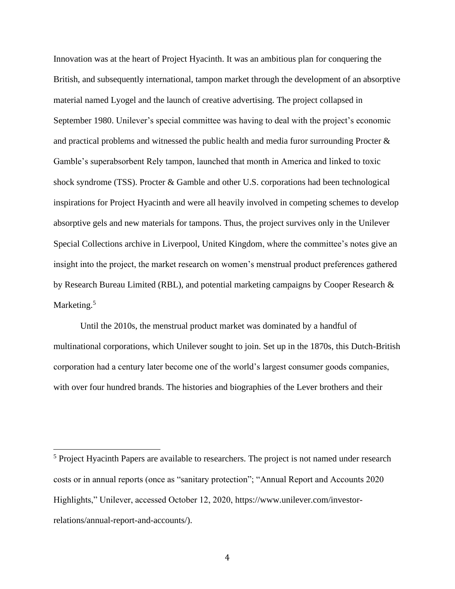Innovation was at the heart of Project Hyacinth. It was an ambitious plan for conquering the British, and subsequently international, tampon market through the development of an absorptive material named Lyogel and the launch of creative advertising. The project collapsed in September 1980. Unilever's special committee was having to deal with the project's economic and practical problems and witnessed the public health and media furor surrounding Procter & Gamble's superabsorbent Rely tampon, launched that month in America and linked to toxic shock syndrome (TSS). Procter & Gamble and other U.S. corporations had been technological inspirations for Project Hyacinth and were all heavily involved in competing schemes to develop absorptive gels and new materials for tampons. Thus, the project survives only in the Unilever Special Collections archive in Liverpool, United Kingdom, where the committee's notes give an insight into the project, the market research on women's menstrual product preferences gathered by Research Bureau Limited (RBL), and potential marketing campaigns by Cooper Research & Marketing.<sup>5</sup>

Until the 2010s, the menstrual product market was dominated by a handful of multinational corporations, which Unilever sought to join. Set up in the 1870s, this Dutch-British corporation had a century later become one of the world's largest consumer goods companies, with over four hundred brands. The histories and biographies of the Lever brothers and their

<sup>&</sup>lt;sup>5</sup> Project Hyacinth Papers are available to researchers. The project is not named under research costs or in annual reports (once as "sanitary protection"; "Annual Report and Accounts 2020 Highlights," Unilever, accessed October 12, 2020, [https://www.unilever.com/investor](https://www.unilever.com/investor-relations/annual-report-and-accounts/)[relations/annual-report-and-accounts/\)](https://www.unilever.com/investor-relations/annual-report-and-accounts/).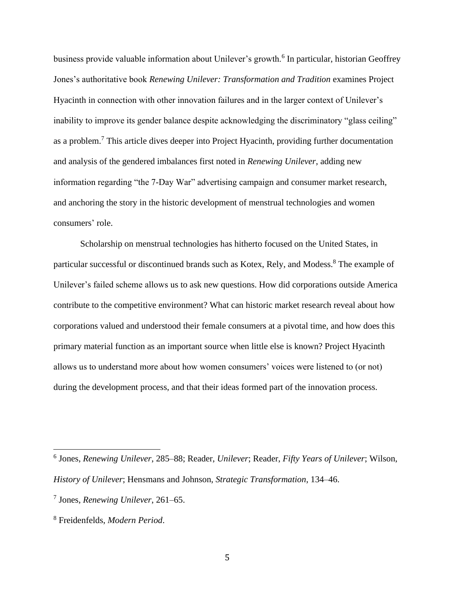business provide valuable information about Unilever's growth.<sup>6</sup> In particular, historian Geoffrey Jones's authoritative book *Renewing Unilever: Transformation and Tradition* examines Project Hyacinth in connection with other innovation failures and in the larger context of Unilever's inability to improve its gender balance despite acknowledging the discriminatory "glass ceiling" as a problem.<sup>7</sup> This article dives deeper into Project Hyacinth, providing further documentation and analysis of the gendered imbalances first noted in *Renewing Unilever*, adding new information regarding "the 7-Day War" advertising campaign and consumer market research, and anchoring the story in the historic development of menstrual technologies and women consumers' role.

Scholarship on menstrual technologies has hitherto focused on the United States, in particular successful or discontinued brands such as Kotex, Rely, and Modess.<sup>8</sup> The example of Unilever's failed scheme allows us to ask new questions. How did corporations outside America contribute to the competitive environment? What can historic market research reveal about how corporations valued and understood their female consumers at a pivotal time, and how does this primary material function as an important source when little else is known? Project Hyacinth allows us to understand more about how women consumers' voices were listened to (or not) during the development process, and that their ideas formed part of the innovation process.

<sup>6</sup> Jones, *Renewing Unilever*, 285–88; Reader, *Unilever*; Reader, *Fifty Years of Unilever*; Wilson, *History of Unilever*; Hensmans and Johnson, *Strategic Transformation*, 134–46.

<sup>7</sup> Jones, *Renewing Unilever*, 261–65.

<sup>8</sup> Freidenfelds, *Modern Period*.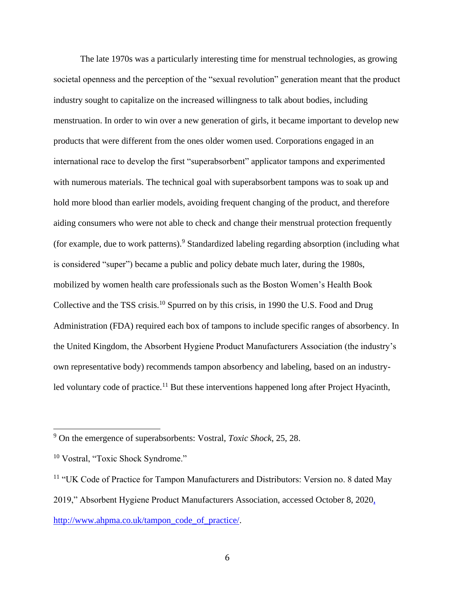The late 1970s was a particularly interesting time for menstrual technologies, as growing societal openness and the perception of the "sexual revolution" generation meant that the product industry sought to capitalize on the increased willingness to talk about bodies, including menstruation. In order to win over a new generation of girls, it became important to develop new products that were different from the ones older women used. Corporations engaged in an international race to develop the first "superabsorbent" applicator tampons and experimented with numerous materials. The technical goal with superabsorbent tampons was to soak up and hold more blood than earlier models, avoiding frequent changing of the product, and therefore aiding consumers who were not able to check and change their menstrual protection frequently (for example, due to work patterns).<sup>9</sup> Standardized labeling regarding absorption (including what is considered "super") became a public and policy debate much later, during the 1980s, mobilized by women health care professionals such as the Boston Women's Health Book Collective and the TSS crisis.<sup>10</sup> Spurred on by this crisis, in 1990 the U.S. Food and Drug Administration (FDA) required each box of tampons to include specific ranges of absorbency. In the United Kingdom, the Absorbent Hygiene Product Manufacturers Association (the industry's own representative body) recommends tampon absorbency and labeling, based on an industryled voluntary code of practice.<sup>11</sup> But these interventions happened long after Project Hyacinth,

<sup>9</sup> On the emergence of superabsorbents: Vostral, *Toxic Shock*, 25, 28.

<sup>&</sup>lt;sup>10</sup> Vostral, "Toxic Shock Syndrome."

<sup>&</sup>lt;sup>11</sup> "UK Code of Practice for Tampon Manufacturers and Distributors: Version no. 8 dated May 2019," Absorbent Hygiene Product Manufacturers Association, accessed October 8, 202[0,](/Users/jeremyhorsefield/Downloads/,%20http:/www.ahpma.co.uk/tampon_code_of_practice)  [http://www.ahpma.co.uk/tampon\\_code\\_of\\_practice/.](/Users/jeremyhorsefield/Downloads/,%20http:/www.ahpma.co.uk/tampon_code_of_practice)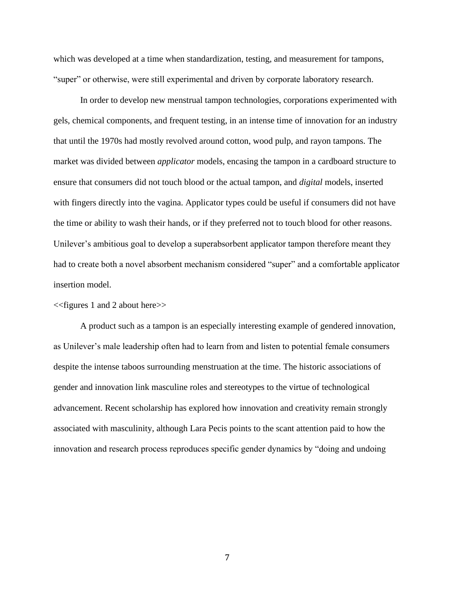which was developed at a time when standardization, testing, and measurement for tampons, "super" or otherwise, were still experimental and driven by corporate laboratory research.

In order to develop new menstrual tampon technologies, corporations experimented with gels, chemical components, and frequent testing, in an intense time of innovation for an industry that until the 1970s had mostly revolved around cotton, wood pulp, and rayon tampons. The market was divided between *applicator* models, encasing the tampon in a cardboard structure to ensure that consumers did not touch blood or the actual tampon, and *digital* models, inserted with fingers directly into the vagina. Applicator types could be useful if consumers did not have the time or ability to wash their hands, or if they preferred not to touch blood for other reasons. Unilever's ambitious goal to develop a superabsorbent applicator tampon therefore meant they had to create both a novel absorbent mechanism considered "super" and a comfortable applicator insertion model.

#### <<figures 1 and 2 about here>>

A product such as a tampon is an especially interesting example of gendered innovation, as Unilever's male leadership often had to learn from and listen to potential female consumers despite the intense taboos surrounding menstruation at the time. The historic associations of gender and innovation link masculine roles and stereotypes to the virtue of technological advancement. Recent scholarship has explored how innovation and creativity remain strongly associated with masculinity, although Lara Pecis points to the scant attention paid to how the innovation and research process reproduces specific gender dynamics by "doing and undoing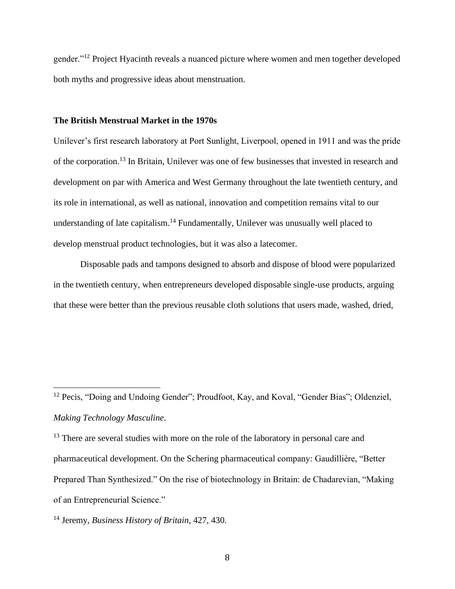gender."<sup>12</sup> Project Hyacinth reveals a nuanced picture where women and men together developed both myths and progressive ideas about menstruation.

#### **The British Menstrual Market in the 1970s**

Unilever's first research laboratory at Port Sunlight, Liverpool, opened in 1911 and was the pride of the corporation. <sup>13</sup> In Britain, Unilever was one of few businesses that invested in research and development on par with America and West Germany throughout the late twentieth century, and its role in international, as well as national, innovation and competition remains vital to our understanding of late capitalism.<sup>14</sup> Fundamentally, Unilever was unusually well placed to develop menstrual product technologies, but it was also a latecomer.

Disposable pads and tampons designed to absorb and dispose of blood were popularized in the twentieth century, when entrepreneurs developed disposable single-use products, arguing that these were better than the previous reusable cloth solutions that users made, washed, dried,

<sup>13</sup> There are several studies with more on the role of the laboratory in personal care and pharmaceutical development. On the Schering pharmaceutical company: Gaudillière, "Better Prepared Than Synthesized." On the rise of biotechnology in Britain: de Chadarevian, "Making of an Entrepreneurial Science."

<sup>&</sup>lt;sup>12</sup> Pecis, "Doing and Undoing Gender"; Proudfoot, Kay, and Koval, "Gender Bias"; Oldenziel, *Making Technology Masculine*.

<sup>14</sup> Jeremy, *Business History of Britain*, 427, 430.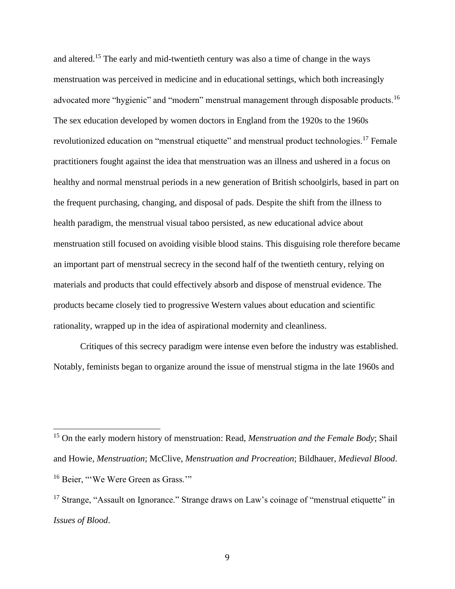and altered.<sup>15</sup> The early and mid-twentieth century was also a time of change in the ways menstruation was perceived in medicine and in educational settings, which both increasingly advocated more "hygienic" and "modern" menstrual management through disposable products.<sup>16</sup> The sex education developed by women doctors in England from the 1920s to the 1960s revolutionized education on "menstrual etiquette" and menstrual product technologies.<sup>17</sup> Female practitioners fought against the idea that menstruation was an illness and ushered in a focus on healthy and normal menstrual periods in a new generation of British schoolgirls, based in part on the frequent purchasing, changing, and disposal of pads. Despite the shift from the illness to health paradigm, the menstrual visual taboo persisted, as new educational advice about menstruation still focused on avoiding visible blood stains. This disguising role therefore became an important part of menstrual secrecy in the second half of the twentieth century, relying on materials and products that could effectively absorb and dispose of menstrual evidence. The products became closely tied to progressive Western values about education and scientific rationality, wrapped up in the idea of aspirational modernity and cleanliness.

Critiques of this secrecy paradigm were intense even before the industry was established. Notably, feminists began to organize around the issue of menstrual stigma in the late 1960s and

<sup>15</sup> On the early modern history of menstruation: Read, *Menstruation and the Female Body*; Shail and Howie, *Menstruation*; McClive, *Menstruation and Procreation*; Bildhauer, *Medieval Blood*. <sup>16</sup> Beier, "'We Were Green as Grass.""

<sup>&</sup>lt;sup>17</sup> Strange, "Assault on Ignorance." Strange draws on Law's coinage of "menstrual etiquette" in *Issues of Blood*.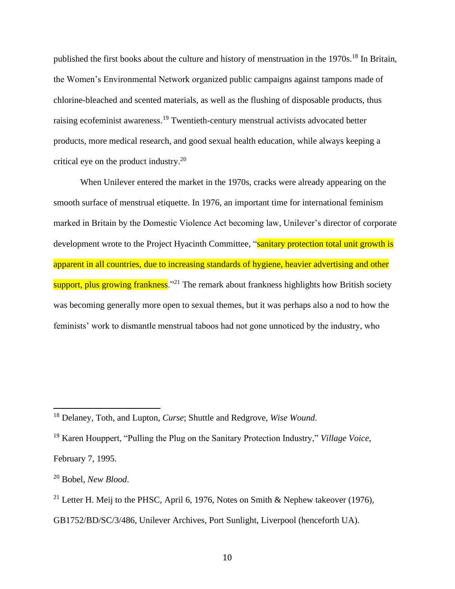published the first books about the culture and history of menstruation in the 1970s.<sup>18</sup> In Britain, the Women's Environmental Network organized public campaigns against tampons made of chlorine-bleached and scented materials, as well as the flushing of disposable products, thus raising ecofeminist awareness.<sup>19</sup> Twentieth-century menstrual activists advocated better products, more medical research, and good sexual health education, while always keeping a critical eye on the product industry.<sup>20</sup>

When Unilever entered the market in the 1970s, cracks were already appearing on the smooth surface of menstrual etiquette. In 1976, an important time for international feminism marked in Britain by the Domestic Violence Act becoming law, Unilever's director of corporate development wrote to the Project Hyacinth Committee, "sanitary protection total unit growth is apparent in all countries, due to increasing standards of hygiene, heavier advertising and other support, plus growing frankness.<sup> $21$ </sup> The remark about frankness highlights how British society was becoming generally more open to sexual themes, but it was perhaps also a nod to how the feminists' work to dismantle menstrual taboos had not gone unnoticed by the industry, who

February 7, 1995.

<sup>18</sup> Delaney, Toth, and Lupton, *Curse*; Shuttle and Redgrove, *Wise Wound*.

<sup>19</sup> Karen Houppert, "Pulling the Plug on the Sanitary Protection Industry," *Village Voice*,

<sup>20</sup> Bobel, *New Blood*.

<sup>&</sup>lt;sup>21</sup> Letter H. Meij to the PHSC, April 6, 1976, Notes on Smith & Nephew takeover (1976),

GB1752/BD/SC/3/486, Unilever Archives, Port Sunlight, Liverpool (henceforth UA).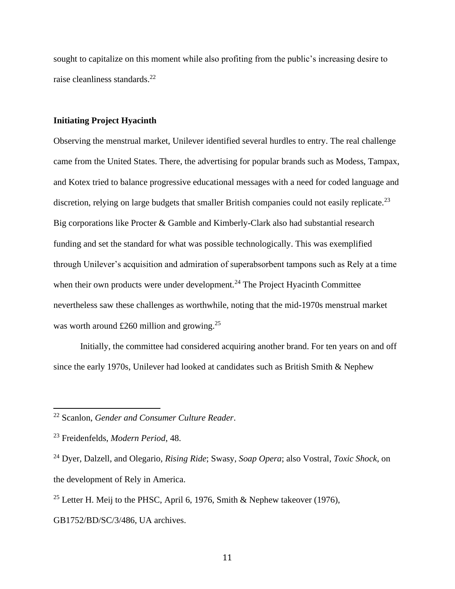sought to capitalize on this moment while also profiting from the public's increasing desire to raise cleanliness standards.<sup>22</sup>

## **Initiating Project Hyacinth**

Observing the menstrual market, Unilever identified several hurdles to entry. The real challenge came from the United States. There, the advertising for popular brands such as Modess, Tampax, and Kotex tried to balance progressive educational messages with a need for coded language and discretion, relying on large budgets that smaller British companies could not easily replicate.<sup>23</sup> Big corporations like Procter & Gamble and Kimberly-Clark also had substantial research funding and set the standard for what was possible technologically. This was exemplified through Unilever's acquisition and admiration of superabsorbent tampons such as Rely at a time when their own products were under development.<sup>24</sup> The Project Hyacinth Committee nevertheless saw these challenges as worthwhile, noting that the mid-1970s menstrual market was worth around £260 million and growing.<sup>25</sup>

Initially, the committee had considered acquiring another brand. For ten years on and off since the early 1970s, Unilever had looked at candidates such as British Smith & Nephew

<sup>22</sup> Scanlon, *Gender and Consumer Culture Reader*.

<sup>23</sup> Freidenfelds, *Modern Period*, 48.

<sup>24</sup> Dyer, Dalzell, and Olegario, *Rising Ride*; Swasy, *Soap Opera*; also Vostral, *Toxic Shock*, on the development of Rely in America.

<sup>&</sup>lt;sup>25</sup> Letter H. Meij to the PHSC, April 6, 1976, Smith & Nephew takeover (1976),

GB1752/BD/SC/3/486, UA archives.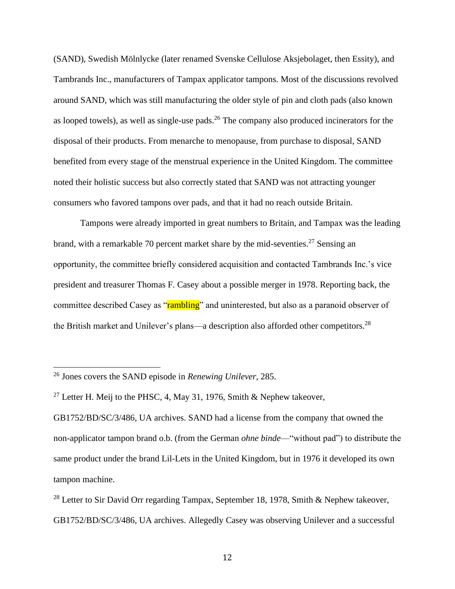(SAND), Swedish Mölnlycke (later renamed Svenske Cellulose Aksjebolaget, then Essity), and Tambrands Inc., manufacturers of Tampax applicator tampons. Most of the discussions revolved around SAND, which was still manufacturing the older style of pin and cloth pads (also known as looped towels), as well as single-use pads.<sup>26</sup> The company also produced incinerators for the disposal of their products. From menarche to menopause, from purchase to disposal, SAND benefited from every stage of the menstrual experience in the United Kingdom. The committee noted their holistic success but also correctly stated that SAND was not attracting younger consumers who favored tampons over pads, and that it had no reach outside Britain.

Tampons were already imported in great numbers to Britain, and Tampax was the leading brand, with a remarkable 70 percent market share by the mid-seventies.<sup>27</sup> Sensing an opportunity, the committee briefly considered acquisition and contacted Tambrands Inc.'s vice president and treasurer Thomas F. Casey about a possible merger in 1978. Reporting back, the committee described Casey as "rambling" and uninterested, but also as a paranoid observer of the British market and Unilever's plans—a description also afforded other competitors.<sup>28</sup>

<sup>26</sup> Jones covers the SAND episode in *Renewing Unilever*, 285.

<sup>&</sup>lt;sup>27</sup> Letter H. Meij to the PHSC, 4, May 31, 1976, Smith & Nephew takeover,

GB1752/BD/SC/3/486, UA archives. SAND had a license from the company that owned the non-applicator tampon brand o.b. (from the German *ohne binde*—"without pad") to distribute the same product under the brand Lil-Lets in the United Kingdom, but in 1976 it developed its own tampon machine.

<sup>&</sup>lt;sup>28</sup> Letter to Sir David Orr regarding Tampax, September 18, 1978, Smith & Nephew takeover, GB1752/BD/SC/3/486, UA archives. Allegedly Casey was observing Unilever and a successful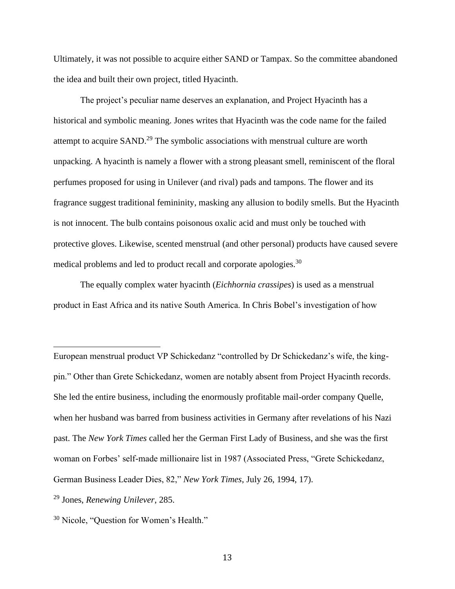Ultimately, it was not possible to acquire either SAND or Tampax. So the committee abandoned the idea and built their own project, titled Hyacinth.

The project's peculiar name deserves an explanation, and Project Hyacinth has a historical and symbolic meaning. Jones writes that Hyacinth was the code name for the failed attempt to acquire SAND.<sup>29</sup> The symbolic associations with menstrual culture are worth unpacking. A hyacinth is namely a flower with a strong pleasant smell, reminiscent of the floral perfumes proposed for using in Unilever (and rival) pads and tampons. The flower and its fragrance suggest traditional femininity, masking any allusion to bodily smells. But the Hyacinth is not innocent. The bulb contains poisonous oxalic acid and must only be touched with protective gloves. Likewise, scented menstrual (and other personal) products have caused severe medical problems and led to product recall and corporate apologies.<sup>30</sup>

The equally complex water hyacinth (*Eichhornia crassipes*) is used as a menstrual product in East Africa and its native South America. In Chris Bobel's investigation of how

European menstrual product VP Schickedanz "controlled by Dr Schickedanz's wife, the kingpin." Other than Grete Schickedanz, women are notably absent from Project Hyacinth records. She led the entire business, including the enormously profitable mail-order company Quelle, when her husband was barred from business activities in Germany after revelations of his Nazi past. The *New York Times* called her the German First Lady of Business, and she was the first woman on Forbes' self-made millionaire list in 1987 (Associated Press, "Grete Schickedanz, German Business Leader Dies, 82," *New York Times*, July 26, 1994, 17).

<sup>29</sup> Jones, *Renewing Unilever*, 285.

<sup>30</sup> Nicole, "Question for Women's Health."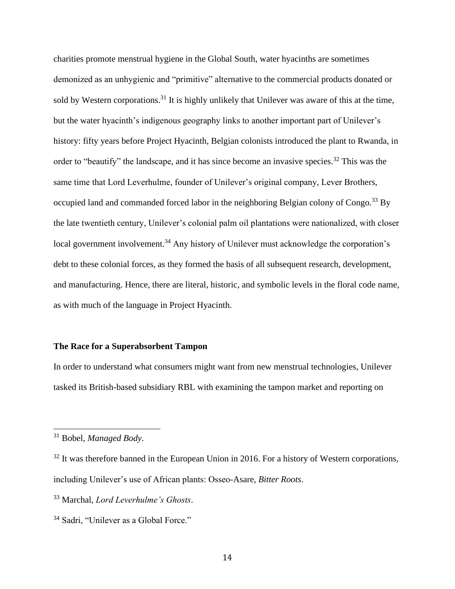charities promote menstrual hygiene in the Global South, water hyacinths are sometimes demonized as an unhygienic and "primitive" alternative to the commercial products donated or sold by Western corporations.<sup>31</sup> It is highly unlikely that Unilever was aware of this at the time, but the water hyacinth's indigenous geography links to another important part of Unilever's history: fifty years before Project Hyacinth, Belgian colonists introduced the plant to Rwanda, in order to "beautify" the landscape, and it has since become an invasive species.<sup>32</sup> This was the same time that Lord Leverhulme, founder of Unilever's original company, Lever Brothers, occupied land and commanded forced labor in the neighboring Belgian colony of Congo.<sup>33</sup> By the late twentieth century, Unilever's colonial palm oil plantations were nationalized, with closer local government involvement.<sup>34</sup> Any history of Unilever must acknowledge the corporation's debt to these colonial forces, as they formed the basis of all subsequent research, development, and manufacturing. Hence, there are literal, historic, and symbolic levels in the floral code name, as with much of the language in Project Hyacinth.

# **The Race for a Superabsorbent Tampon**

In order to understand what consumers might want from new menstrual technologies, Unilever tasked its British-based subsidiary RBL with examining the tampon market and reporting on

<sup>31</sup> Bobel, *Managed Body*.

 $32$  It was therefore banned in the European Union in 2016. For a history of Western corporations, including Unilever's use of African plants: Osseo-Asare, *Bitter Roots*.

<sup>33</sup> Marchal, *Lord Leverhulme's Ghosts*.

<sup>34</sup> Sadri, "Unilever as a Global Force."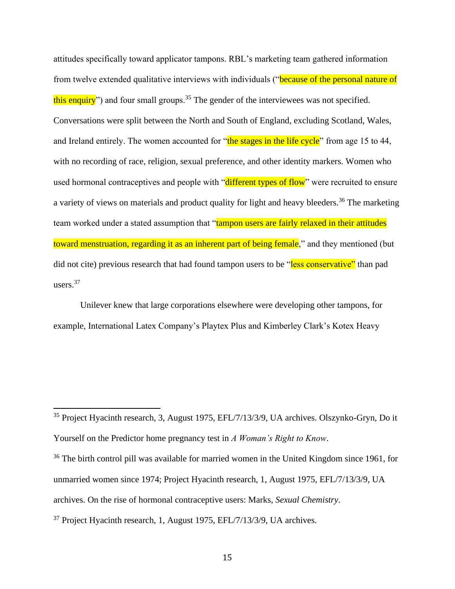attitudes specifically toward applicator tampons. RBL's marketing team gathered information from twelve extended qualitative interviews with individuals ("because of the personal nature of this enquiry") and four small groups.<sup>35</sup> The gender of the interviewees was not specified. Conversations were split between the North and South of England, excluding Scotland, Wales, and Ireland entirely. The women accounted for "the stages in the life cycle" from age 15 to 44, with no recording of race, religion, sexual preference, and other identity markers. Women who used hormonal contraceptives and people with "different types of flow" were recruited to ensure a variety of views on materials and product quality for light and heavy bleeders.<sup>36</sup> The marketing team worked under a stated assumption that "tampon users are fairly relaxed in their attitudes toward menstruation, regarding it as an inherent part of being female," and they mentioned (but did not cite) previous research that had found tampon users to be "less conservative" than pad users.<sup>37</sup>

Unilever knew that large corporations elsewhere were developing other tampons, for example, International Latex Company's Playtex Plus and Kimberley Clark's Kotex Heavy

<sup>35</sup> Project Hyacinth research, 3, August 1975, EFL/7/13/3/9, UA archives. Olszynko-Gryn, Do it Yourself on the Predictor home pregnancy test in *A Woman's Right to Know*.

<sup>&</sup>lt;sup>36</sup> The birth control pill was available for married women in the United Kingdom since 1961, for unmarried women since 1974; Project Hyacinth research, 1, August 1975, EFL/7/13/3/9, UA archives. On the rise of hormonal contraceptive users: Marks, *Sexual Chemistry*.

<sup>37</sup> Project Hyacinth research, 1, August 1975, EFL/7/13/3/9, UA archives.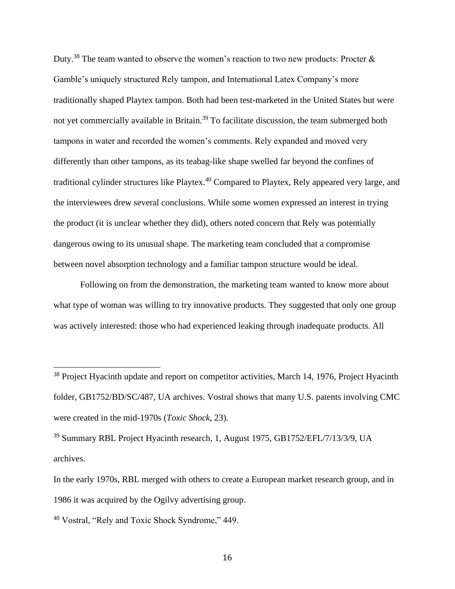Duty.<sup>38</sup> The team wanted to observe the women's reaction to two new products: Procter & Gamble's uniquely structured Rely tampon, and International Latex Company's more traditionally shaped Playtex tampon. Both had been test-marketed in the United States but were not yet commercially available in Britain.<sup>39</sup> To facilitate discussion, the team submerged both tampons in water and recorded the women's comments. Rely expanded and moved very differently than other tampons, as its teabag-like shape swelled far beyond the confines of traditional cylinder structures like Playtex.<sup>40</sup> Compared to Playtex, Rely appeared very large, and the interviewees drew several conclusions. While some women expressed an interest in trying the product (it is unclear whether they did), others noted concern that Rely was potentially dangerous owing to its unusual shape. The marketing team concluded that a compromise between novel absorption technology and a familiar tampon structure would be ideal.

Following on from the demonstration, the marketing team wanted to know more about what type of woman was willing to try innovative products. They suggested that only one group was actively interested: those who had experienced leaking through inadequate products. All

<sup>&</sup>lt;sup>38</sup> Project Hyacinth update and report on competitor activities, March 14, 1976, Project Hyacinth folder, GB1752/BD/SC/487, UA archives. Vostral shows that many U.S. patents involving CMC were created in the mid-1970s (*Toxic Shock*, 23).

<sup>39</sup> Summary RBL Project Hyacinth research, 1, August 1975, GB1752/EFL/7/13/3/9, UA archives.

In the early 1970s, RBL merged with others to create a European market research group, and in 1986 it was acquired by the Ogilvy advertising group.

<sup>40</sup> Vostral, "Rely and Toxic Shock Syndrome," 449.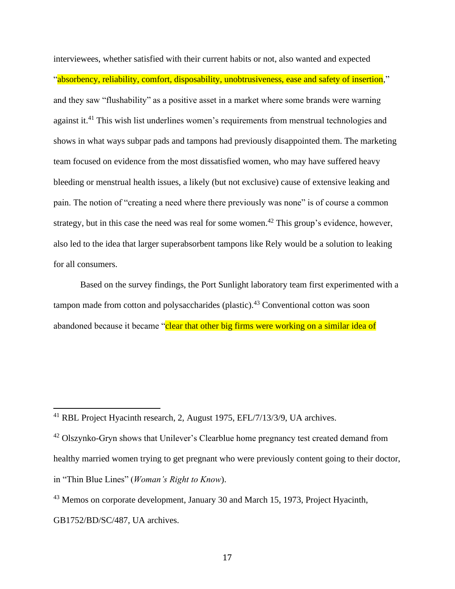interviewees, whether satisfied with their current habits or not, also wanted and expected "absorbency, reliability, comfort, disposability, unobtrusiveness, ease and safety of insertion," and they saw "flushability" as a positive asset in a market where some brands were warning against it.<sup>41</sup> This wish list underlines women's requirements from menstrual technologies and shows in what ways subpar pads and tampons had previously disappointed them. The marketing team focused on evidence from the most dissatisfied women, who may have suffered heavy bleeding or menstrual health issues, a likely (but not exclusive) cause of extensive leaking and pain. The notion of "creating a need where there previously was none" is of course a common strategy, but in this case the need was real for some women.<sup>42</sup> This group's evidence, however, also led to the idea that larger superabsorbent tampons like Rely would be a solution to leaking for all consumers.

Based on the survey findings, the Port Sunlight laboratory team first experimented with a tampon made from cotton and polysaccharides (plastic).<sup>43</sup> Conventional cotton was soon abandoned because it became "clear that other big firms were working on a similar idea of

<sup>41</sup> RBL Project Hyacinth research, 2, August 1975, EFL/7/13/3/9, UA archives.

 $42$  Olszynko-Gryn shows that Unilever's Clearblue home pregnancy test created demand from healthy married women trying to get pregnant who were previously content going to their doctor, in "Thin Blue Lines" (*Woman's Right to Know*).

<sup>43</sup> Memos on corporate development, January 30 and March 15, 1973, Project Hyacinth,

GB1752/BD/SC/487, UA archives.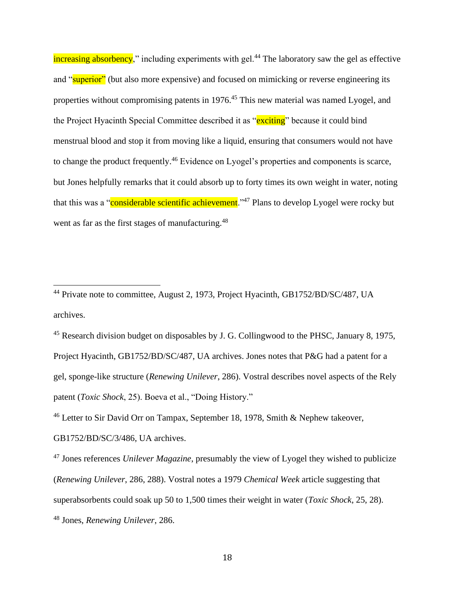increasing absorbency," including experiments with gel.<sup>44</sup> The laboratory saw the gel as effective and "superior" (but also more expensive) and focused on mimicking or reverse engineering its properties without compromising patents in 1976.<sup>45</sup> This new material was named Lyogel, and the Project Hyacinth Special Committee described it as "exciting" because it could bind menstrual blood and stop it from moving like a liquid, ensuring that consumers would not have to change the product frequently.<sup>46</sup> Evidence on Lyogel's properties and components is scarce, but Jones helpfully remarks that it could absorb up to forty times its own weight in water, noting that this was a "considerable scientific achievement."<sup>47</sup> Plans to develop Lyogel were rocky but went as far as the first stages of manufacturing.<sup>48</sup>

<sup>46</sup> Letter to Sir David Orr on Tampax, September 18, 1978, Smith & Nephew takeover,

GB1752/BD/SC/3/486, UA archives.

<sup>47</sup> Jones references *Unilever Magazine*, presumably the view of Lyogel they wished to publicize (*Renewing Unilever*, 286, 288). Vostral notes a 1979 *Chemical Week* article suggesting that superabsorbents could soak up 50 to 1,500 times their weight in water (*Toxic Shock*, 25, 28).

<sup>48</sup> Jones, *Renewing Unilever*, 286.

<sup>&</sup>lt;sup>44</sup> Private note to committee, August 2, 1973, Project Hyacinth, GB1752/BD/SC/487, UA archives.

<sup>&</sup>lt;sup>45</sup> Research division budget on disposables by J. G. Collingwood to the PHSC, January 8, 1975, Project Hyacinth, GB1752/BD/SC/487, UA archives. Jones notes that P&G had a patent for a gel, sponge-like structure (*Renewing Unilever*, 286). Vostral describes novel aspects of the Rely patent (*Toxic Shock*, 25). Boeva et al., "Doing History."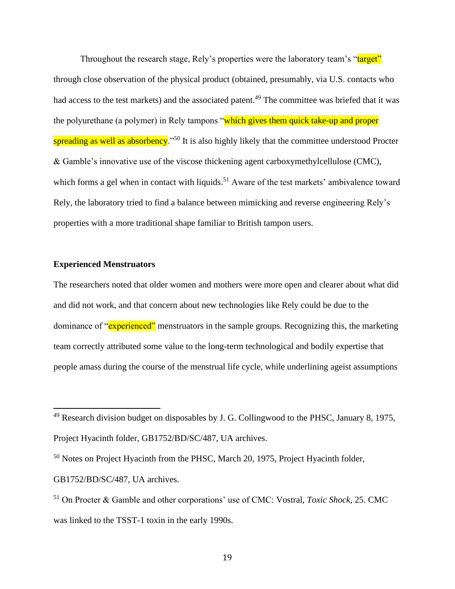Throughout the research stage, Rely's properties were the laboratory team's "target" through close observation of the physical product (obtained, presumably, via U.S. contacts who had access to the test markets) and the associated patent.<sup>49</sup> The committee was briefed that it was the polyurethane (a polymer) in Rely tampons "which gives them quick take-up and proper spreading as well as absorbency."<sup>50</sup> It is also highly likely that the committee understood Procter & Gamble's innovative use of the viscose thickening agent carboxymethylcellulose (CMC), which forms a gel when in contact with liquids.<sup>51</sup> Aware of the test markets' ambivalence toward Rely, the laboratory tried to find a balance between mimicking and reverse engineering Rely's properties with a more traditional shape familiar to British tampon users.

## **Experienced Menstruators**

The researchers noted that older women and mothers were more open and clearer about what did and did not work, and that concern about new technologies like Rely could be due to the dominance of "experienced" menstruators in the sample groups. Recognizing this, the marketing team correctly attributed some value to the long-term technological and bodily expertise that people amass during the course of the menstrual life cycle, while underlining ageist assumptions

<sup>49</sup> Research division budget on disposables by J. G. Collingwood to the PHSC, January 8, 1975, Project Hyacinth folder, GB1752/BD/SC/487, UA archives.

<sup>50</sup> Notes on Project Hyacinth from the PHSC, March 20, 1975, Project Hyacinth folder, GB1752/BD/SC/487, UA archives.

<sup>51</sup> On Procter & Gamble and other corporations' use of CMC: Vostral, *Toxic Shock*, 25. CMC was linked to the TSST-1 toxin in the early 1990s.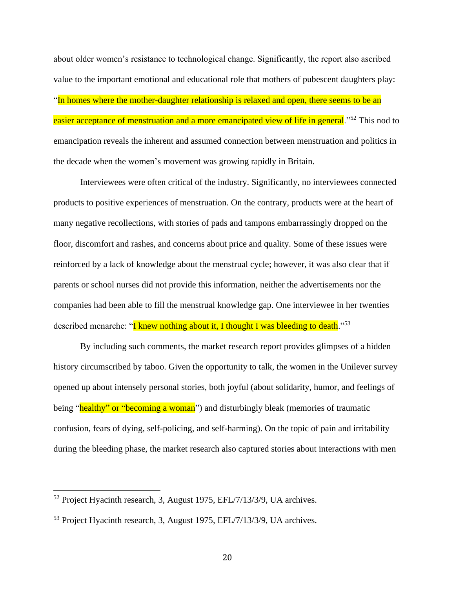about older women's resistance to technological change. Significantly, the report also ascribed value to the important emotional and educational role that mothers of pubescent daughters play: "In homes where the mother-daughter relationship is relaxed and open, there seems to be an easier acceptance of menstruation and a more emancipated view of life in general."<sup>52</sup> This nod to emancipation reveals the inherent and assumed connection between menstruation and politics in the decade when the women's movement was growing rapidly in Britain.

Interviewees were often critical of the industry. Significantly, no interviewees connected products to positive experiences of menstruation. On the contrary, products were at the heart of many negative recollections, with stories of pads and tampons embarrassingly dropped on the floor, discomfort and rashes, and concerns about price and quality. Some of these issues were reinforced by a lack of knowledge about the menstrual cycle; however, it was also clear that if parents or school nurses did not provide this information, neither the advertisements nor the companies had been able to fill the menstrual knowledge gap. One interviewee in her twenties described menarche: "I knew nothing about it, I thought I was bleeding to death."<sup>53</sup>

By including such comments, the market research report provides glimpses of a hidden history circumscribed by taboo. Given the opportunity to talk, the women in the Unilever survey opened up about intensely personal stories, both joyful (about solidarity, humor, and feelings of being "healthy" or "becoming a woman") and disturbingly bleak (memories of traumatic confusion, fears of dying, self-policing, and self-harming). On the topic of pain and irritability during the bleeding phase, the market research also captured stories about interactions with men

<sup>52</sup> Project Hyacinth research, 3, August 1975, EFL/7/13/3/9, UA archives.

<sup>53</sup> Project Hyacinth research, 3, August 1975, EFL/7/13/3/9, UA archives.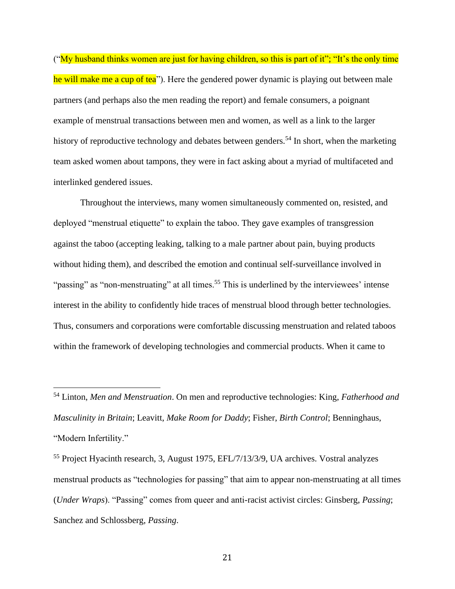("My husband thinks women are just for having children, so this is part of it"; "It's the only time he will make me a cup of tea"). Here the gendered power dynamic is playing out between male partners (and perhaps also the men reading the report) and female consumers, a poignant example of menstrual transactions between men and women, as well as a link to the larger history of reproductive technology and debates between genders.<sup>54</sup> In short, when the marketing team asked women about tampons, they were in fact asking about a myriad of multifaceted and interlinked gendered issues.

Throughout the interviews, many women simultaneously commented on, resisted, and deployed "menstrual etiquette" to explain the taboo. They gave examples of transgression against the taboo (accepting leaking, talking to a male partner about pain, buying products without hiding them), and described the emotion and continual self-surveillance involved in "passing" as "non-menstruating" at all times.<sup>55</sup> This is underlined by the interviewees' intense interest in the ability to confidently hide traces of menstrual blood through better technologies. Thus, consumers and corporations were comfortable discussing menstruation and related taboos within the framework of developing technologies and commercial products. When it came to

<sup>54</sup> Linton, *Men and Menstruation*. On men and reproductive technologies: King, *Fatherhood and Masculinity in Britain*; Leavitt, *Make Room for Daddy*; Fisher, *Birth Control*; Benninghaus, "Modern Infertility."

<sup>55</sup> Project Hyacinth research, 3, August 1975, EFL/7/13/3/9, UA archives. Vostral analyzes menstrual products as "technologies for passing" that aim to appear non-menstruating at all times (*Under Wraps*). "Passing" comes from queer and anti-racist activist circles: Ginsberg, *Passing*; Sanchez and Schlossberg, *Passing*.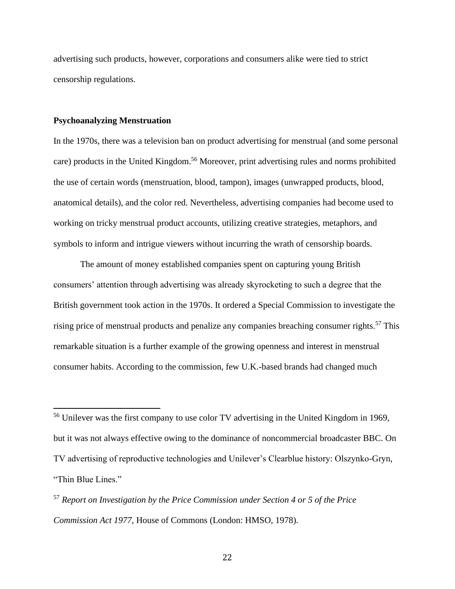advertising such products, however, corporations and consumers alike were tied to strict censorship regulations.

#### **Psychoanalyzing Menstruation**

In the 1970s, there was a television ban on product advertising for menstrual (and some personal care) products in the United Kingdom.<sup>56</sup> Moreover, print advertising rules and norms prohibited the use of certain words (menstruation, blood, tampon), images (unwrapped products, blood, anatomical details), and the color red. Nevertheless, advertising companies had become used to working on tricky menstrual product accounts, utilizing creative strategies, metaphors, and symbols to inform and intrigue viewers without incurring the wrath of censorship boards.

The amount of money established companies spent on capturing young British consumers' attention through advertising was already skyrocketing to such a degree that the British government took action in the 1970s. It ordered a Special Commission to investigate the rising price of menstrual products and penalize any companies breaching consumer rights.<sup>57</sup> This remarkable situation is a further example of the growing openness and interest in menstrual consumer habits. According to the commission, few U.K.-based brands had changed much

<sup>56</sup> Unilever was the first company to use color TV advertising in the United Kingdom in 1969, but it was not always effective owing to the dominance of noncommercial broadcaster BBC. On TV advertising of reproductive technologies and Unilever's Clearblue history: Olszynko-Gryn, "Thin Blue Lines."

<sup>57</sup> *Report on Investigation by the Price Commission under Section 4 or 5 of the Price Commission Act 1977*, House of Commons (London: HMSO, 1978).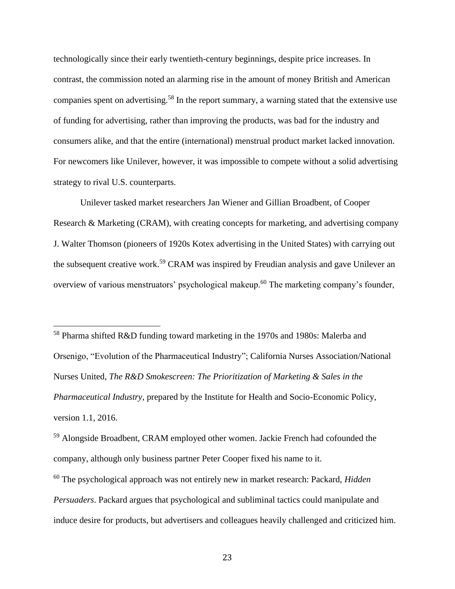technologically since their early twentieth-century beginnings, despite price increases. In contrast, the commission noted an alarming rise in the amount of money British and American companies spent on advertising.<sup>58</sup> In the report summary, a warning stated that the extensive use of funding for advertising, rather than improving the products, was bad for the industry and consumers alike, and that the entire (international) menstrual product market lacked innovation. For newcomers like Unilever, however, it was impossible to compete without a solid advertising strategy to rival U.S. counterparts.

Unilever tasked market researchers Jan Wiener and Gillian Broadbent, of Cooper Research & Marketing (CRAM), with creating concepts for marketing, and advertising company J. Walter Thomson (pioneers of 1920s Kotex advertising in the United States) with carrying out the subsequent creative work.<sup>59</sup> CRAM was inspired by Freudian analysis and gave Unilever an overview of various menstruators' psychological makeup.<sup>60</sup> The marketing company's founder,

<sup>58</sup> Pharma shifted R&D funding toward marketing in the 1970s and 1980s: Malerba and Orsenigo, "Evolution of the Pharmaceutical Industry"; California Nurses Association/National Nurses United, *The R&D Smokescreen: The Prioritization of Marketing & Sales in the Pharmaceutical Industry*, prepared by the Institute for Health and Socio-Economic Policy, version 1.1, 2016.

<sup>59</sup> Alongside Broadbent, CRAM employed other women. Jackie French had cofounded the company, although only business partner Peter Cooper fixed his name to it.

<sup>60</sup> The psychological approach was not entirely new in market research: Packard, *Hidden Persuaders*. Packard argues that psychological and subliminal tactics could manipulate and induce desire for products, but advertisers and colleagues heavily challenged and criticized him.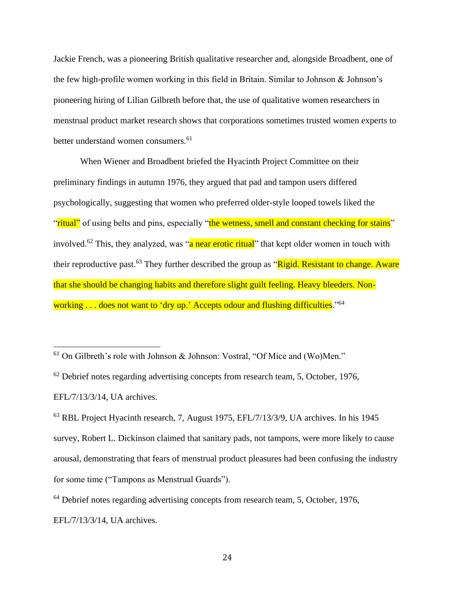Jackie French, was a pioneering British qualitative researcher and, alongside Broadbent, one of the few high-profile women working in this field in Britain. Similar to Johnson & Johnson's pioneering hiring of Lilian Gilbreth before that, the use of qualitative women researchers in menstrual product market research shows that corporations sometimes trusted women experts to better understand women consumers.<sup>61</sup>

When Wiener and Broadbent briefed the Hyacinth Project Committee on their preliminary findings in autumn 1976, they argued that pad and tampon users differed psychologically, suggesting that women who preferred older-style looped towels liked the "ritual" of using belts and pins, especially "the wetness, smell and constant checking for stains" involved.<sup>62</sup> This, they analyzed, was "a near erotic ritual" that kept older women in touch with their reproductive past.<sup>63</sup> They further described the group as "Rigid. Resistant to change. Aware that she should be changing habits and therefore slight guilt feeling. Heavy bleeders. Nonworking . . . does not want to 'dry up.' Accepts odour and flushing difficulties."<sup>64</sup>

 $61$  On Gilbreth's role with Johnson & Johnson: Vostral, "Of Mice and (Wo)Men."

 $62$  Debrief notes regarding advertising concepts from research team, 5, October, 1976, EFL/7/13/3/14, UA archives.

 $63$  RBL Project Hyacinth research, 7, August 1975, EFL/7/13/3/9, UA archives. In his 1945 survey, Robert L. Dickinson claimed that sanitary pads, not tampons, were more likely to cause arousal, demonstrating that fears of menstrual product pleasures had been confusing the industry for some time ("Tampons as Menstrual Guards").

<sup>&</sup>lt;sup>64</sup> Debrief notes regarding advertising concepts from research team, 5, October, 1976,

EFL/7/13/3/14, UA archives.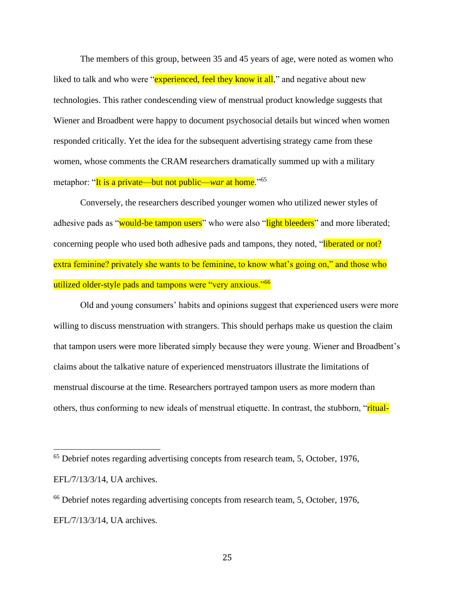The members of this group, between 35 and 45 years of age, were noted as women who liked to talk and who were "experienced, feel they know it all," and negative about new technologies. This rather condescending view of menstrual product knowledge suggests that Wiener and Broadbent were happy to document psychosocial details but winced when women responded critically. Yet the idea for the subsequent advertising strategy came from these women, whose comments the CRAM researchers dramatically summed up with a military metaphor: "It is a private—but not public—*war* at home."<sup>65</sup>

Conversely, the researchers described younger women who utilized newer styles of adhesive pads as "would-be tampon users" who were also "light bleeders" and more liberated; concerning people who used both adhesive pads and tampons, they noted, "liberated or not? extra feminine? privately she wants to be feminine, to know what's going on," and those who utilized older-style pads and tampons were "very anxious."<sup>66</sup>

Old and young consumers' habits and opinions suggest that experienced users were more willing to discuss menstruation with strangers. This should perhaps make us question the claim that tampon users were more liberated simply because they were young. Wiener and Broadbent's claims about the talkative nature of experienced menstruators illustrate the limitations of menstrual discourse at the time. Researchers portrayed tampon users as more modern than others, thus conforming to new ideals of menstrual etiquette. In contrast, the stubborn, "ritual-

<sup>65</sup> Debrief notes regarding advertising concepts from research team, 5, October, 1976, EFL/7/13/3/14, UA archives.

<sup>66</sup> Debrief notes regarding advertising concepts from research team, 5, October, 1976, EFL/7/13/3/14, UA archives.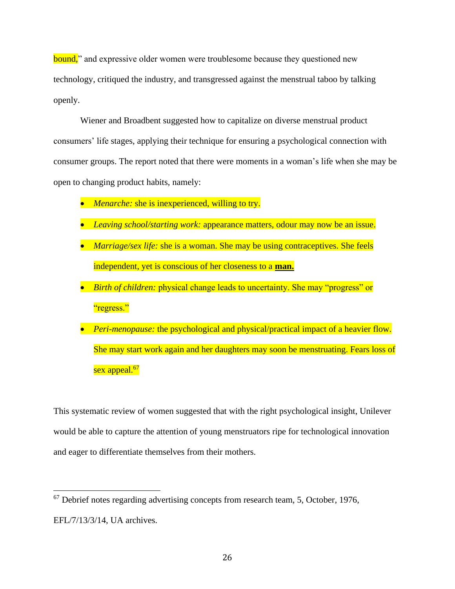bound," and expressive older women were troublesome because they questioned new technology, critiqued the industry, and transgressed against the menstrual taboo by talking openly.

Wiener and Broadbent suggested how to capitalize on diverse menstrual product consumers' life stages, applying their technique for ensuring a psychological connection with consumer groups. The report noted that there were moments in a woman's life when she may be open to changing product habits, namely:

- *Menarche:* she is inexperienced, willing to try.
- *Leaving school/starting work:* appearance matters, odour may now be an issue.
- *Marriage/sex life:* she is a woman. She may be using contraceptives. She feels independent, yet is conscious of her closeness to a **man.**
- *Birth of children:* physical change leads to uncertainty. She may "progress" or "regress."
- *Peri-menopause:* the psychological and physical/practical impact of a heavier flow. She may start work again and her daughters may soon be menstruating. Fears loss of sex appeal.<sup>67</sup>

This systematic review of women suggested that with the right psychological insight, Unilever would be able to capture the attention of young menstruators ripe for technological innovation and eager to differentiate themselves from their mothers.

 $67$  Debrief notes regarding advertising concepts from research team, 5, October, 1976, EFL/7/13/3/14, UA archives.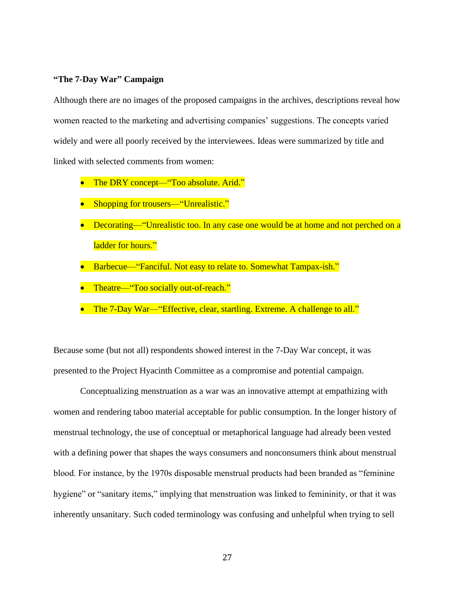## **"The 7-Day War" Campaign**

Although there are no images of the proposed campaigns in the archives, descriptions reveal how women reacted to the marketing and advertising companies' suggestions. The concepts varied widely and were all poorly received by the interviewees. Ideas were summarized by title and linked with selected comments from women:

- The DRY concept—"Too absolute. Arid."
- Shopping for trousers—"Unrealistic."
- Decorating—"Unrealistic too. In any case one would be at home and not perched on a ladder for hours."
- Barbecue—"Fanciful. Not easy to relate to. Somewhat Tampax-ish."
- Theatre—"Too socially out-of-reach."
- The 7-Day War—"Effective, clear, startling. Extreme. A challenge to all."

Because some (but not all) respondents showed interest in the 7-Day War concept, it was presented to the Project Hyacinth Committee as a compromise and potential campaign.

Conceptualizing menstruation as a war was an innovative attempt at empathizing with women and rendering taboo material acceptable for public consumption. In the longer history of menstrual technology, the use of conceptual or metaphorical language had already been vested with a defining power that shapes the ways consumers and nonconsumers think about menstrual blood. For instance, by the 1970s disposable menstrual products had been branded as "feminine hygiene" or "sanitary items," implying that menstruation was linked to femininity, or that it was inherently unsanitary. Such coded terminology was confusing and unhelpful when trying to sell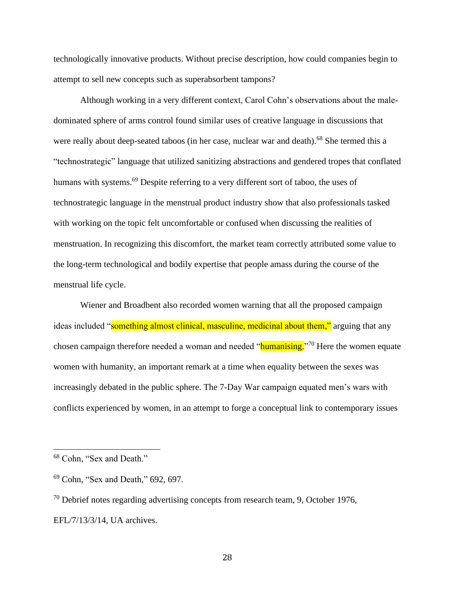technologically innovative products. Without precise description, how could companies begin to attempt to sell new concepts such as superabsorbent tampons?

Although working in a very different context, Carol Cohn's observations about the maledominated sphere of arms control found similar uses of creative language in discussions that were really about deep-seated taboos (in her case, nuclear war and death).<sup>68</sup> She termed this a "technostrategic" language that utilized sanitizing abstractions and gendered tropes that conflated humans with systems.<sup>69</sup> Despite referring to a very different sort of taboo, the uses of technostrategic language in the menstrual product industry show that also professionals tasked with working on the topic felt uncomfortable or confused when discussing the realities of menstruation. In recognizing this discomfort, the market team correctly attributed some value to the long-term technological and bodily expertise that people amass during the course of the menstrual life cycle.

Wiener and Broadbent also recorded women warning that all the proposed campaign ideas included "something almost clinical, masculine, medicinal about them," arguing that any chosen campaign therefore needed a woman and needed "humanising."<sup>70</sup> Here the women equate women with humanity, an important remark at a time when equality between the sexes was increasingly debated in the public sphere. The 7-Day War campaign equated men's wars with conflicts experienced by women, in an attempt to forge a conceptual link to contemporary issues

<sup>68</sup> Cohn, "Sex and Death."

<sup>69</sup> Cohn, "Sex and Death," 692, 697.

 $70$  Debrief notes regarding advertising concepts from research team, 9, October 1976, EFL/7/13/3/14, UA archives.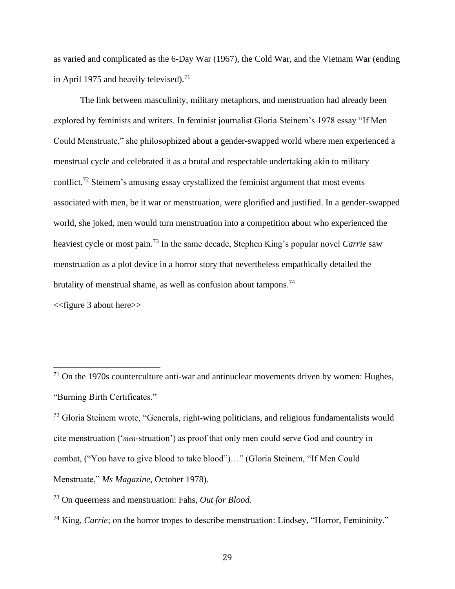as varied and complicated as the 6-Day War (1967), the Cold War, and the Vietnam War (ending in April 1975 and heavily televised).<sup>71</sup>

The link between masculinity, military metaphors, and menstruation had already been explored by feminists and writers. In feminist journalist Gloria Steinem's 1978 essay "If Men Could Menstruate," she philosophized about a gender-swapped world where men experienced a menstrual cycle and celebrated it as a brutal and respectable undertaking akin to military conflict.<sup>72</sup> Steinem's amusing essay crystallized the feminist argument that most events associated with men, be it war or menstruation, were glorified and justified. In a gender-swapped world, she joked, men would turn menstruation into a competition about who experienced the heaviest cycle or most pain.<sup>73</sup> In the same decade, Stephen King's popular novel *Carrie* saw menstruation as a plot device in a horror story that nevertheless empathically detailed the brutality of menstrual shame, as well as confusion about tampons.<sup>74</sup>

<<figure 3 about here>>

 $71$  On the 1970s counterculture anti-war and antinuclear movements driven by women: Hughes, "Burning Birth Certificates."

<sup>&</sup>lt;sup>72</sup> Gloria Steinem wrote, "Generals, right-wing politicians, and religious fundamentalists would cite menstruation ('*men*-struation') as proof that only men could serve God and country in combat, ("You have to give blood to take blood")…" (Gloria Steinem, "If Men Could Menstruate," *Ms Magazine,* October 1978).

<sup>73</sup> On queerness and menstruation: Fahs, *Out for Blood.* 

<sup>74</sup> King, *Carrie*; on the horror tropes to describe menstruation: Lindsey, "Horror, Femininity."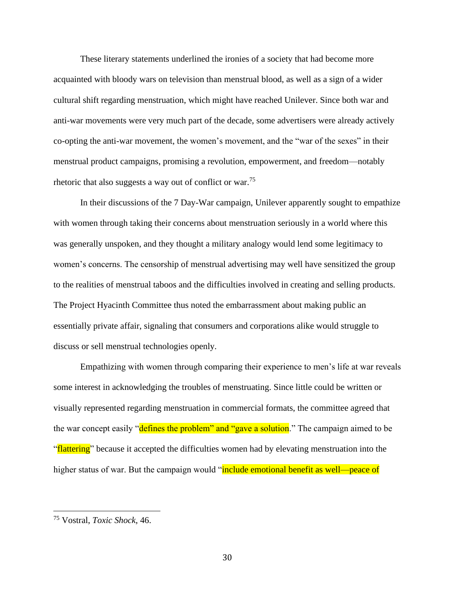These literary statements underlined the ironies of a society that had become more acquainted with bloody wars on television than menstrual blood, as well as a sign of a wider cultural shift regarding menstruation, which might have reached Unilever. Since both war and anti-war movements were very much part of the decade, some advertisers were already actively co-opting the anti-war movement, the women's movement, and the "war of the sexes" in their menstrual product campaigns, promising a revolution, empowerment, and freedom—notably rhetoric that also suggests a way out of conflict or war.<sup>75</sup>

In their discussions of the 7 Day-War campaign, Unilever apparently sought to empathize with women through taking their concerns about menstruation seriously in a world where this was generally unspoken, and they thought a military analogy would lend some legitimacy to women's concerns. The censorship of menstrual advertising may well have sensitized the group to the realities of menstrual taboos and the difficulties involved in creating and selling products. The Project Hyacinth Committee thus noted the embarrassment about making public an essentially private affair, signaling that consumers and corporations alike would struggle to discuss or sell menstrual technologies openly.

Empathizing with women through comparing their experience to men's life at war reveals some interest in acknowledging the troubles of menstruating. Since little could be written or visually represented regarding menstruation in commercial formats, the committee agreed that the war concept easily "defines the problem" and "gave a solution." The campaign aimed to be "**flattering**" because it accepted the difficulties women had by elevating menstruation into the higher status of war. But the campaign would "include emotional benefit as well—peace of

<sup>75</sup> Vostral, *Toxic Shock*, 46.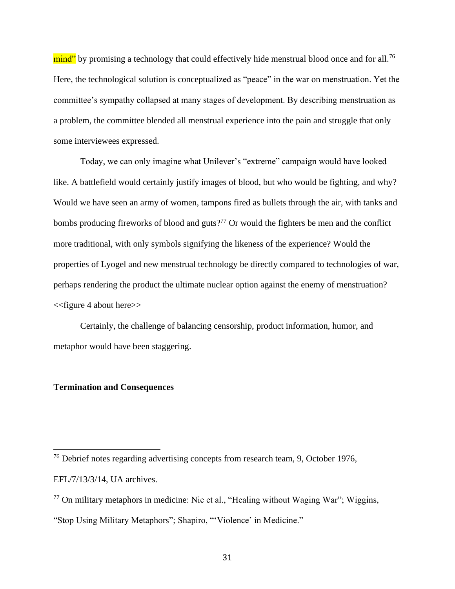mind" by promising a technology that could effectively hide menstrual blood once and for all.<sup>76</sup> Here, the technological solution is conceptualized as "peace" in the war on menstruation. Yet the committee's sympathy collapsed at many stages of development. By describing menstruation as a problem, the committee blended all menstrual experience into the pain and struggle that only some interviewees expressed.

Today, we can only imagine what Unilever's "extreme" campaign would have looked like. A battlefield would certainly justify images of blood, but who would be fighting, and why? Would we have seen an army of women, tampons fired as bullets through the air, with tanks and bombs producing fireworks of blood and guts?<sup>77</sup> Or would the fighters be men and the conflict more traditional, with only symbols signifying the likeness of the experience? Would the properties of Lyogel and new menstrual technology be directly compared to technologies of war, perhaps rendering the product the ultimate nuclear option against the enemy of menstruation? <<figure 4 about here>>

Certainly, the challenge of balancing censorship, product information, humor, and metaphor would have been staggering.

# **Termination and Consequences**

<sup>76</sup> Debrief notes regarding advertising concepts from research team, 9, October 1976, EFL/7/13/3/14, UA archives.

 $77$  On military metaphors in medicine: Nie et al., "Healing without Waging War"; Wiggins,

<sup>&</sup>quot;Stop Using Military Metaphors"; Shapiro, "'Violence' in Medicine."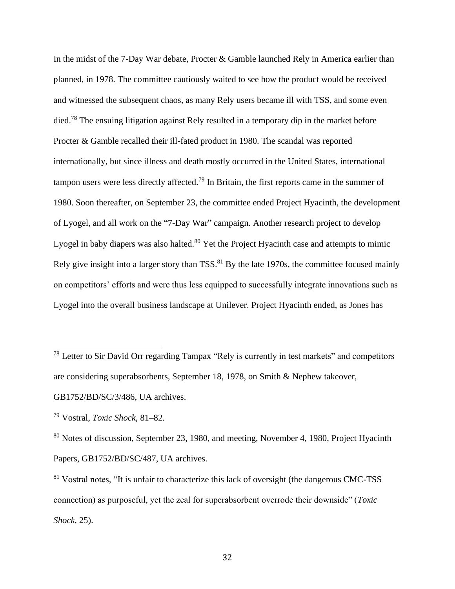In the midst of the 7-Day War debate, Procter & Gamble launched Rely in America earlier than planned, in 1978. The committee cautiously waited to see how the product would be received and witnessed the subsequent chaos, as many Rely users became ill with TSS, and some even died.<sup>78</sup> The ensuing litigation against Rely resulted in a temporary dip in the market before Procter & Gamble recalled their ill-fated product in 1980. The scandal was reported internationally, but since illness and death mostly occurred in the United States, international tampon users were less directly affected.<sup>79</sup> In Britain, the first reports came in the summer of 1980. Soon thereafter, on September 23, the committee ended Project Hyacinth, the development of Lyogel, and all work on the "7-Day War" campaign. Another research project to develop Lyogel in baby diapers was also halted.<sup>80</sup> Yet the Project Hyacinth case and attempts to mimic Rely give insight into a larger story than TSS.<sup>81</sup> By the late 1970s, the committee focused mainly on competitors' efforts and were thus less equipped to successfully integrate innovations such as Lyogel into the overall business landscape at Unilever. Project Hyacinth ended, as Jones has

<sup>&</sup>lt;sup>78</sup> Letter to Sir David Orr regarding Tampax "Rely is currently in test markets" and competitors are considering superabsorbents, September 18, 1978, on Smith & Nephew takeover, GB1752/BD/SC/3/486, UA archives.

<sup>79</sup> Vostral, *Toxic Shock*, 81–82.

<sup>&</sup>lt;sup>80</sup> Notes of discussion, September 23, 1980, and meeting, November 4, 1980, Project Hyacinth Papers, GB1752/BD/SC/487, UA archives.

<sup>&</sup>lt;sup>81</sup> Vostral notes, "It is unfair to characterize this lack of oversight (the dangerous CMC-TSS connection) as purposeful, yet the zeal for superabsorbent overrode their downside" (*Toxic Shock*, 25).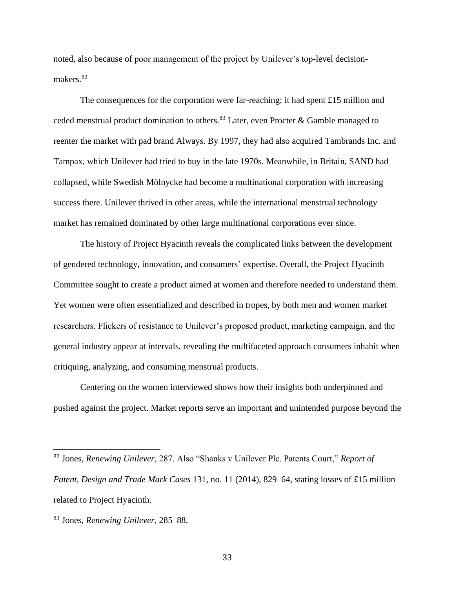noted, also because of poor management of the project by Unilever's top-level decisionmakers.<sup>82</sup>

The consequences for the corporation were far-reaching; it had spent £15 million and ceded menstrual product domination to others.<sup>83</sup> Later, even Procter & Gamble managed to reenter the market with pad brand Always. By 1997, they had also acquired Tambrands Inc. and Tampax, which Unilever had tried to buy in the late 1970s. Meanwhile, in Britain, SAND had collapsed, while Swedish Mölnycke had become a multinational corporation with increasing success there. Unilever thrived in other areas, while the international menstrual technology market has remained dominated by other large multinational corporations ever since.

The history of Project Hyacinth reveals the complicated links between the development of gendered technology, innovation, and consumers' expertise. Overall, the Project Hyacinth Committee sought to create a product aimed at women and therefore needed to understand them. Yet women were often essentialized and described in tropes, by both men and women market researchers. Flickers of resistance to Unilever's proposed product, marketing campaign, and the general industry appear at intervals, revealing the multifaceted approach consumers inhabit when critiquing, analyzing, and consuming menstrual products.

Centering on the women interviewed shows how their insights both underpinned and pushed against the project. Market reports serve an important and unintended purpose beyond the

33

<sup>82</sup> Jones, *Renewing Unilever*, 287. Also "Shanks v Unilever Plc. Patents Court," *Report of Patent, Design and Trade Mark Cases* 131, no. 11 (2014), 829–64, stating losses of £15 million related to Project Hyacinth.

<sup>83</sup> Jones, *Renewing Unilever*, 285–88.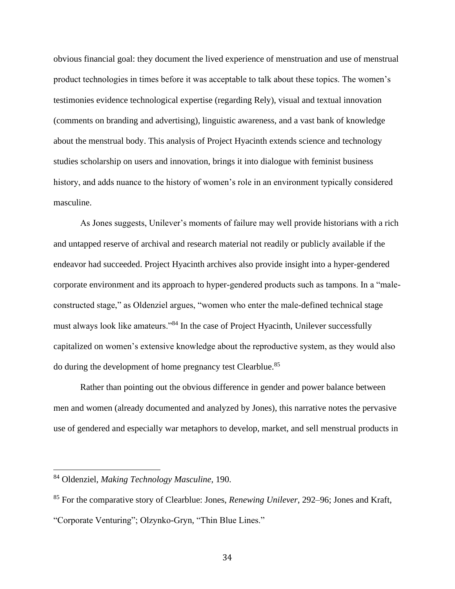obvious financial goal: they document the lived experience of menstruation and use of menstrual product technologies in times before it was acceptable to talk about these topics. The women's testimonies evidence technological expertise (regarding Rely), visual and textual innovation (comments on branding and advertising), linguistic awareness, and a vast bank of knowledge about the menstrual body. This analysis of Project Hyacinth extends science and technology studies scholarship on users and innovation, brings it into dialogue with feminist business history, and adds nuance to the history of women's role in an environment typically considered masculine.

As Jones suggests, Unilever's moments of failure may well provide historians with a rich and untapped reserve of archival and research material not readily or publicly available if the endeavor had succeeded. Project Hyacinth archives also provide insight into a hyper-gendered corporate environment and its approach to hyper-gendered products such as tampons. In a "maleconstructed stage," as Oldenziel argues, "women who enter the male-defined technical stage must always look like amateurs."<sup>84</sup> In the case of Project Hyacinth, Unilever successfully capitalized on women's extensive knowledge about the reproductive system, as they would also do during the development of home pregnancy test Clearblue.<sup>85</sup>

Rather than pointing out the obvious difference in gender and power balance between men and women (already documented and analyzed by Jones), this narrative notes the pervasive use of gendered and especially war metaphors to develop, market, and sell menstrual products in

<sup>84</sup> Oldenziel, *Making Technology Masculine*, 190.

<sup>85</sup> For the comparative story of Clearblue: Jones, *Renewing Unilever*, 292–96; Jones and Kraft, "Corporate Venturing"; Olzynko-Gryn, "Thin Blue Lines."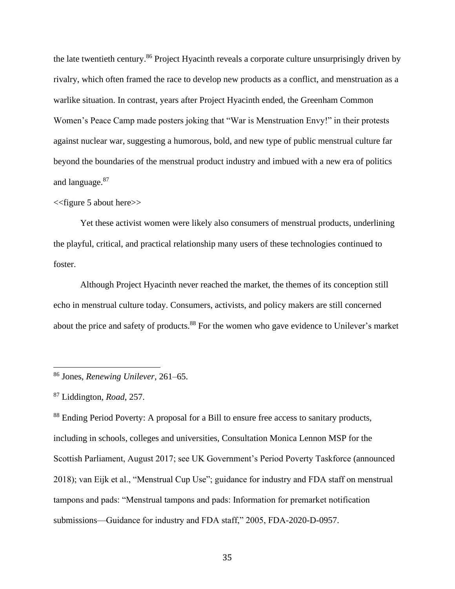the late twentieth century.<sup>86</sup> Project Hyacinth reveals a corporate culture unsurprisingly driven by rivalry, which often framed the race to develop new products as a conflict, and menstruation as a warlike situation. In contrast, years after Project Hyacinth ended, the Greenham Common Women's Peace Camp made posters joking that "War is Menstruation Envy!" in their protests against nuclear war, suggesting a humorous, bold, and new type of public menstrual culture far beyond the boundaries of the menstrual product industry and imbued with a new era of politics and language.<sup>87</sup>

# <<figure 5 about here>>

Yet these activist women were likely also consumers of menstrual products, underlining the playful, critical, and practical relationship many users of these technologies continued to foster.

Although Project Hyacinth never reached the market, the themes of its conception still echo in menstrual culture today. Consumers, activists, and policy makers are still concerned about the price and safety of products.<sup>88</sup> For the women who gave evidence to Unilever's market

<sup>88</sup> Ending Period Poverty: A proposal for a Bill to ensure free access to sanitary products, including in schools, colleges and universities, Consultation Monica Lennon MSP for the Scottish Parliament, August 2017; see UK Government's Period Poverty Taskforce (announced 2018); van Eijk et al., "Menstrual Cup Use"; guidance for industry and FDA staff on menstrual tampons and pads: "Menstrual tampons and pads: Information for premarket notification submissions—Guidance for industry and FDA staff," 2005, FDA-2020-D-0957.

<sup>86</sup> Jones, *Renewing Unilever*, 261–65.

<sup>87</sup> Liddington, *Road*, 257.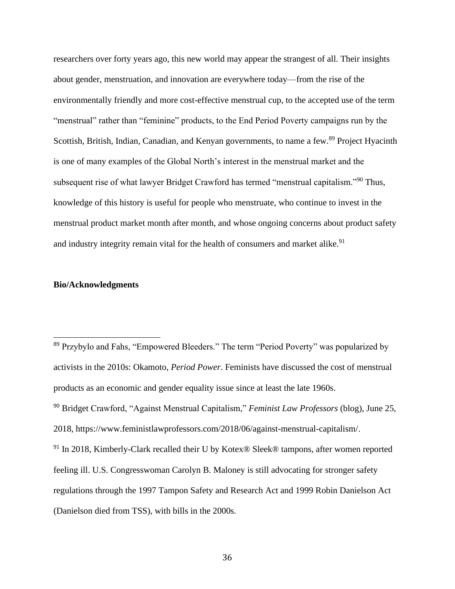researchers over forty years ago, this new world may appear the strangest of all. Their insights about gender, menstruation, and innovation are everywhere today—from the rise of the environmentally friendly and more cost-effective menstrual cup, to the accepted use of the term "menstrual" rather than "feminine" products, to the End Period Poverty campaigns run by the Scottish, British, Indian, Canadian, and Kenyan governments, to name a few.<sup>89</sup> Project Hyacinth is one of many examples of the Global North's interest in the menstrual market and the subsequent rise of what lawyer Bridget Crawford has termed "menstrual capitalism."<sup>90</sup> Thus, knowledge of this history is useful for people who menstruate, who continue to invest in the menstrual product market month after month, and whose ongoing concerns about product safety and industry integrity remain vital for the health of consumers and market alike.<sup>91</sup>

# **Bio/Acknowledgments**

<sup>89</sup> Przybylo and Fahs, "Empowered Bleeders." The term "Period Poverty" was popularized by activists in the 2010s: Okamoto, *Period Power*. Feminists have discussed the cost of menstrual products as an economic and gender equality issue since at least the late 1960s. <sup>90</sup> Bridget Crawford, "Against Menstrual Capitalism," *Feminist Law Professors* (blog), June 25, 2018, [https://www.feministlawprofessors.com/2018/06/against-menstrual-capitalism/.](https://www.feministlawprofessors.com/2018/06/against-menstrual-capitalism/) <sup>91</sup> In 2018, Kimberly-Clark recalled their U by Kotex® Sleek® tampons, after women reported feeling ill. U.S. Congresswoman Carolyn B. Maloney is still advocating for stronger safety regulations through the 1997 Tampon Safety and Research Act and 1999 Robin Danielson Act (Danielson died from TSS), with bills in the 2000s.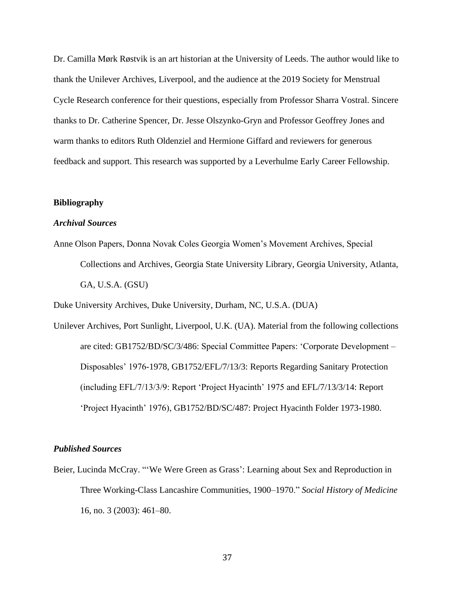Dr. Camilla Mørk Røstvik is an art historian at the University of Leeds. The author would like to thank the Unilever Archives, Liverpool, and the audience at the 2019 Society for Menstrual Cycle Research conference for their questions, especially from Professor Sharra Vostral. Sincere thanks to Dr. Catherine Spencer, Dr. Jesse Olszynko-Gryn and Professor Geoffrey Jones and warm thanks to editors Ruth Oldenziel and Hermione Giffard and reviewers for generous feedback and support. This research was supported by a Leverhulme Early Career Fellowship.

## **Bibliography**

# *Archival Sources*

Anne Olson Papers, Donna Novak Coles Georgia Women's Movement Archives, Special Collections and Archives, Georgia State University Library, Georgia University, Atlanta, GA, U.S.A. (GSU)

Duke University Archives, Duke University, Durham, NC, U.S.A. (DUA)

Unilever Archives, Port Sunlight, Liverpool, U.K. (UA). Material from the following collections are cited: GB1752/BD/SC/3/486: Special Committee Papers: 'Corporate Development – Disposables' 1976-1978, GB1752/EFL/7/13/3: Reports Regarding Sanitary Protection (including EFL/7/13/3/9: Report 'Project Hyacinth' 1975 and EFL/7/13/3/14: Report 'Project Hyacinth' 1976), GB1752/BD/SC/487: Project Hyacinth Folder 1973-1980.

## *Published Sources*

Beier, Lucinda McCray. "'We Were Green as Grass': Learning about Sex and Reproduction in Three Working-Class Lancashire Communities, 1900–1970." *Social History of Medicine* 16, no. 3 (2003): 461–80.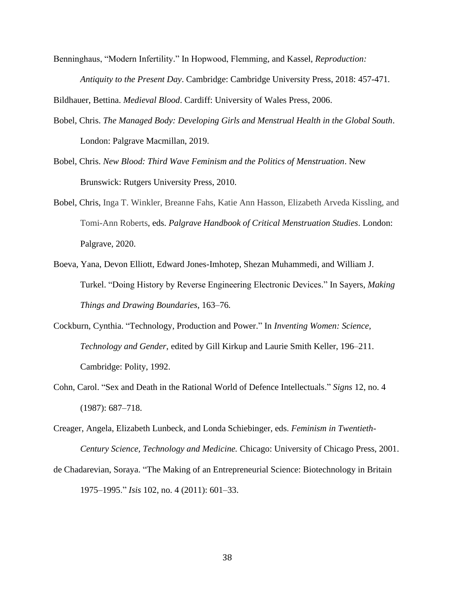Benninghaus, "Modern Infertility." In Hopwood, Flemming, and Kassel, *Reproduction: Antiquity to the Present Day*. Cambridge: Cambridge University Press, 2018: 457-471*.*

Bildhauer, Bettina. *Medieval Blood*. Cardiff: University of Wales Press, 2006.

- Bobel, Chris. *The Managed Body: Developing Girls and Menstrual Health in the Global South*. London: Palgrave Macmillan, 2019.
- Bobel, Chris. *New Blood: Third Wave Feminism and the Politics of Menstruation*. New Brunswick: Rutgers University Press, 2010.
- Bobel, Chris, Inga T. Winkler, Breanne Fahs, Katie Ann Hasson, Elizabeth Arveda Kissling, and Tomi-Ann Roberts, eds. *Palgrave Handbook of Critical Menstruation Studies*. London: Palgrave, 2020.
- Boeva, Yana, Devon Elliott, Edward Jones-Imhotep, Shezan Muhammedi, and William J. Turkel. "Doing History by Reverse Engineering Electronic Devices." In Sayers, *Making Things and Drawing Boundaries*, 163–76*.*
- Cockburn, Cynthia. "Technology, Production and Power." In *Inventing Women: Science, Technology and Gender*, edited by Gill Kirkup and Laurie Smith Keller, 196–211. Cambridge: Polity, 1992.
- Cohn, Carol. "Sex and Death in the Rational World of Defence Intellectuals." *Signs* 12, no. 4 (1987): 687–718.
- Creager, Angela, Elizabeth Lunbeck, and Londa Schiebinger, eds. *Feminism in Twentieth-Century Science, Technology and Medicine.* Chicago: University of Chicago Press, 2001.
- de Chadarevian, Soraya. "The Making of an Entrepreneurial Science: Biotechnology in Britain 1975–1995." *Isis* 102, no. 4 (2011): 601–33.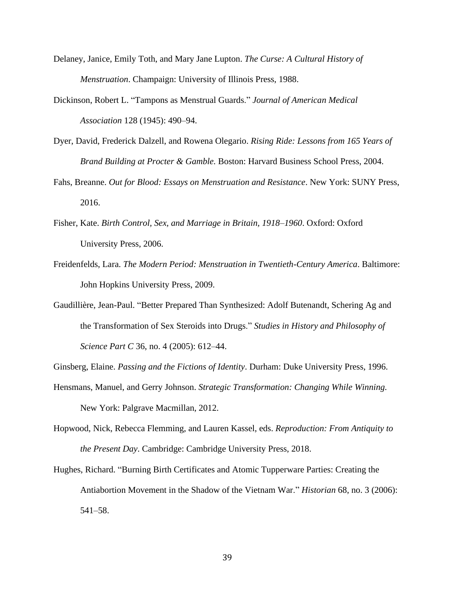- Delaney, Janice, Emily Toth, and Mary Jane Lupton. *The Curse: A Cultural History of Menstruation*. Champaign: University of Illinois Press, 1988.
- Dickinson, Robert L. "Tampons as Menstrual Guards." *Journal of American Medical Association* 128 (1945): 490–94.
- Dyer, David, Frederick Dalzell, and Rowena Olegario. *Rising Ride: Lessons from 165 Years of Brand Building at Procter & Gamble.* Boston: Harvard Business School Press, 2004.
- Fahs, Breanne. *Out for Blood: Essays on Menstruation and Resistance*. New York: SUNY Press, 2016.
- Fisher, Kate. *Birth Control, Sex, and Marriage in Britain, 1918*–*1960*. Oxford: Oxford University Press, 2006.
- Freidenfelds, Lara. *The Modern Period: Menstruation in Twentieth-Century America*. Baltimore: John Hopkins University Press, 2009.
- Gaudillière, Jean-Paul. "Better Prepared Than Synthesized: Adolf Butenandt, Schering Ag and the Transformation of Sex Steroids into Drugs." *Studies in History and Philosophy of Science Part C* 36, no. 4 (2005): 612–44.
- Ginsberg, Elaine. *Passing and the Fictions of Identity*. Durham: Duke University Press, 1996.
- Hensmans, Manuel, and Gerry Johnson. *Strategic Transformation: Changing While Winning.* New York: Palgrave Macmillan, 2012.
- Hopwood, Nick, Rebecca Flemming, and Lauren Kassel, eds. *Reproduction: From Antiquity to the Present Day*. Cambridge: Cambridge University Press, 2018.
- Hughes, Richard. "Burning Birth Certificates and Atomic Tupperware Parties: Creating the Antiabortion Movement in the Shadow of the Vietnam War." *Historian* 68, no. 3 (2006): 541–58.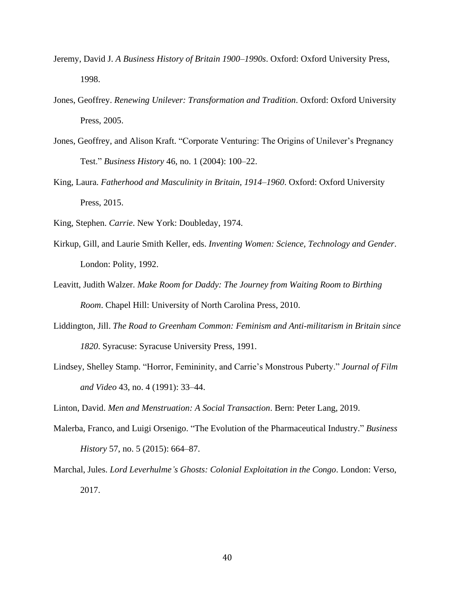- Jeremy, David J. *A Business History of Britain 1900*–*1990s*. Oxford: Oxford University Press, 1998.
- Jones, Geoffrey. *Renewing Unilever: Transformation and Tradition*. Oxford: Oxford University Press, 2005.
- Jones, Geoffrey, and Alison Kraft. "Corporate Venturing: The Origins of Unilever's Pregnancy Test." *Business History* 46, no. 1 (2004): 100–22.
- King, Laura. *Fatherhood and Masculinity in Britain, 1914*–*1960*. Oxford: Oxford University Press, 2015.
- King, Stephen. *Carrie*. New York: Doubleday, 1974.
- Kirkup, Gill, and Laurie Smith Keller, eds. *Inventing Women: Science, Technology and Gender*. London: Polity, 1992.
- Leavitt, Judith Walzer. *Make Room for Daddy: The Journey from Waiting Room to Birthing Room*. Chapel Hill: University of North Carolina Press, 2010.
- Liddington, Jill. *The Road to Greenham Common: Feminism and Anti-militarism in Britain since 1820*. Syracuse: Syracuse University Press, 1991.
- Lindsey, Shelley Stamp. "Horror, Femininity, and Carrie's Monstrous Puberty." *Journal of Film and Video* 43, no. 4 (1991): 33–44.

Linton, David. *Men and Menstruation: A Social Transaction*. Bern: Peter Lang, 2019.

- Malerba, Franco, and Luigi Orsenigo. "The Evolution of the Pharmaceutical Industry." *Business History* 57, no. 5 (2015): 664–87.
- Marchal, Jules. *Lord Leverhulme's Ghosts: Colonial Exploitation in the Congo*. London: Verso, 2017.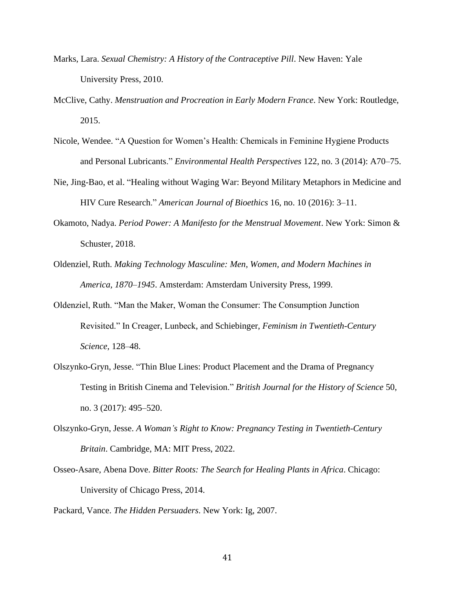- Marks, Lara. *Sexual Chemistry: A History of the Contraceptive Pill*. New Haven: Yale University Press, 2010.
- McClive, Cathy. *Menstruation and Procreation in Early Modern France*. New York: Routledge, 2015.
- Nicole, Wendee. "A Question for Women's Health: Chemicals in Feminine Hygiene Products and Personal Lubricants." *Environmental Health Perspectives* 122, no. 3 (2014): A70–75.
- Nie, Jing-Bao, et al. "Healing without Waging War: Beyond Military Metaphors in Medicine and HIV Cure Research." *American Journal of Bioethics* 16, no. 10 (2016): 3–11.
- Okamoto, Nadya. *Period Power: A Manifesto for the Menstrual Movement*. New York: Simon & Schuster, 2018.
- Oldenziel, Ruth. *Making Technology Masculine: Men, Women, and Modern Machines in America, 1870*–*1945*. Amsterdam: Amsterdam University Press, 1999.
- Oldenziel, Ruth. "Man the Maker, Woman the Consumer: The Consumption Junction Revisited." In Creager, Lunbeck, and Schiebinger, *Feminism in Twentieth-Century Science*, 128–48.
- Olszynko-Gryn, Jesse. "Thin Blue Lines: Product Placement and the Drama of Pregnancy Testing in British Cinema and Television." *British Journal for the History of Science* 50, no. 3 (2017): 495–520.
- Olszynko-Gryn, Jesse. *A Woman's Right to Know: Pregnancy Testing in Twentieth-Century Britain*. Cambridge, MA: MIT Press, 2022.
- Osseo-Asare, Abena Dove. *Bitter Roots: The Search for Healing Plants in Africa*. Chicago: University of Chicago Press, 2014.

Packard, Vance. *The Hidden Persuaders*. New York: Ig, 2007.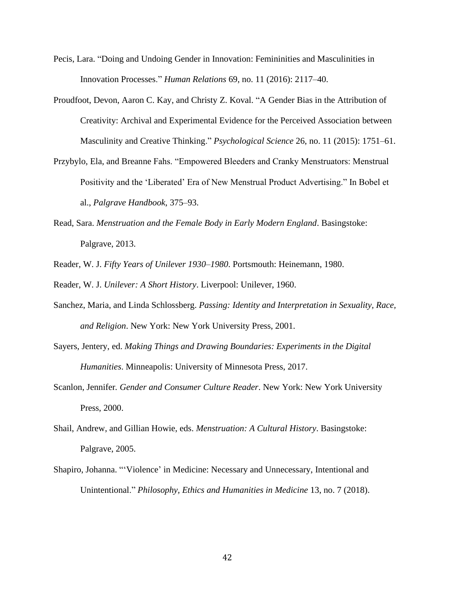- Pecis, Lara. "Doing and Undoing Gender in Innovation: Femininities and Masculinities in Innovation Processes." *Human Relations* 69, no. 11 (2016): 2117–40.
- Proudfoot, Devon, Aaron C. Kay, and Christy Z. Koval. "A Gender Bias in the Attribution of Creativity: Archival and Experimental Evidence for the Perceived Association between Masculinity and Creative Thinking." *Psychological Science* 26, no. 11 (2015): 1751–61.
- Przybylo, Ela, and Breanne Fahs. "Empowered Bleeders and Cranky Menstruators: Menstrual Positivity and the 'Liberated' Era of New Menstrual Product Advertising." In Bobel et al., *Palgrave Handbook*, 375–93.
- Read, Sara. *Menstruation and the Female Body in Early Modern England*. Basingstoke: Palgrave, 2013.
- Reader, W. J. *Fifty Years of Unilever 1930*–*1980*. Portsmouth: Heinemann, 1980.

Reader, W. J. *Unilever: A Short History*. Liverpool: Unilever, 1960.

- Sanchez, Maria, and Linda Schlossberg. *Passing: Identity and Interpretation in Sexuality, Race, and Religion*. New York: New York University Press, 2001.
- Sayers, Jentery, ed. *Making Things and Drawing Boundaries: Experiments in the Digital Humanities*. Minneapolis: University of Minnesota Press, 2017.
- Scanlon, Jennifer*. Gender and Consumer Culture Reader*. New York: New York University Press, 2000.
- Shail, Andrew, and Gillian Howie, eds. *Menstruation: A Cultural History*. Basingstoke: Palgrave, 2005.
- Shapiro, Johanna. "'Violence' in Medicine: Necessary and Unnecessary, Intentional and Unintentional." *Philosophy, Ethics and Humanities in Medicine* 13, no. 7 (2018).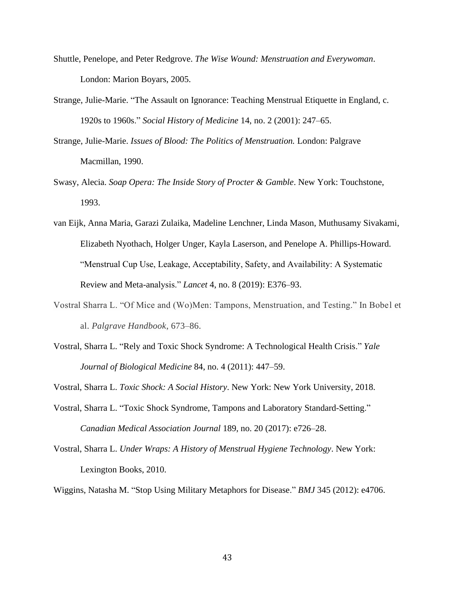- Shuttle, Penelope, and Peter Redgrove. *The Wise Wound: Menstruation and Everywoman*. London: Marion Boyars, 2005.
- Strange, Julie-Marie. "The Assault on Ignorance: Teaching Menstrual Etiquette in England, c. 1920s to 1960s." *Social History of Medicine* 14, no. 2 (2001): 247–65.
- Strange, Julie-Marie. *Issues of Blood: The Politics of Menstruation.* London: Palgrave Macmillan, 1990.
- Swasy, Alecia. *Soap Opera: The Inside Story of Procter & Gamble*. New York: Touchstone, 1993.
- van Eijk, Anna Maria, Garazi Zulaika, Madeline Lenchner, Linda Mason, Muthusamy Sivakami, Elizabeth Nyothach, Holger Unger, Kayla Laserson, and Penelope A. Phillips-Howard. "Menstrual Cup Use, Leakage, Acceptability, Safety, and Availability: A Systematic Review and Meta-analysis." *Lancet* 4, no. 8 (2019): E376–93.
- Vostral Sharra L. "Of Mice and (Wo)Men: Tampons, Menstruation, and Testing." In Bobel et al. *Palgrave Handbook*, 673–86.
- Vostral, Sharra L. "Rely and Toxic Shock Syndrome: A Technological Health Crisis." *Yale Journal of Biological Medicine* 84, no. 4 (2011): 447–59.

Vostral, Sharra L. *Toxic Shock: A Social History*. New York: New York University, 2018.

- Vostral, Sharra L. "Toxic Shock Syndrome, Tampons and Laboratory Standard-Setting." *Canadian Medical Association Journal* 189, no. 20 (2017): e726–28.
- Vostral, Sharra L. *Under Wraps: A History of Menstrual Hygiene Technology*. New York: Lexington Books, 2010.

Wiggins, Natasha M. "Stop Using Military Metaphors for Disease." *BMJ* 345 (2012): e4706.